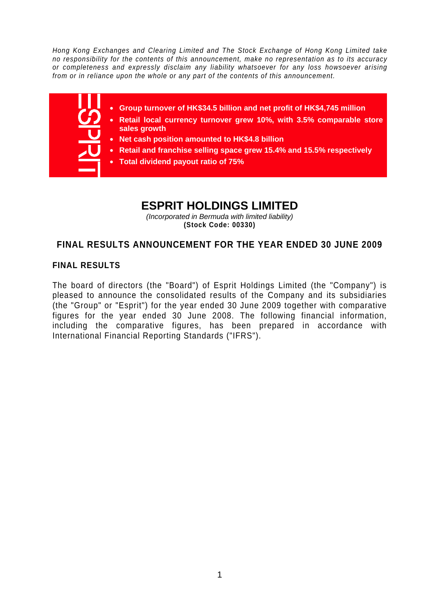*Hong Kong Exchanges and Clearing Limited and The Stock Exchange of Hong Kong Limited take no responsibility for the contents of this announcement, make no representation as to its accuracy or completeness and expressly disclaim any liability whatsoever for any loss howsoever arising from or in reliance upon the whole or any part of the contents of this announcement.* 



# **ESPRIT HOLDINGS LIMITED**

*(Incorporated in Bermuda with limited liability)*  **(Stock Code: 00330)** 

# **FINAL RESULTS ANNOUNCEMENT FOR THE YEAR ENDED 30 JUNE 2009**

# **FINAL RESULTS**

The board of directors (the "Board") of Esprit Holdings Limited (the "Company") is pleased to announce the consolidated results of the Company and its subsidiaries (the "Group" or "Esprit") for the year ended 30 June 2009 together with comparative figures for the year ended 30 June 2008. The following financial information, including the comparative figures, has been prepared in accordance with International Financial Reporting Standards ("IFRS").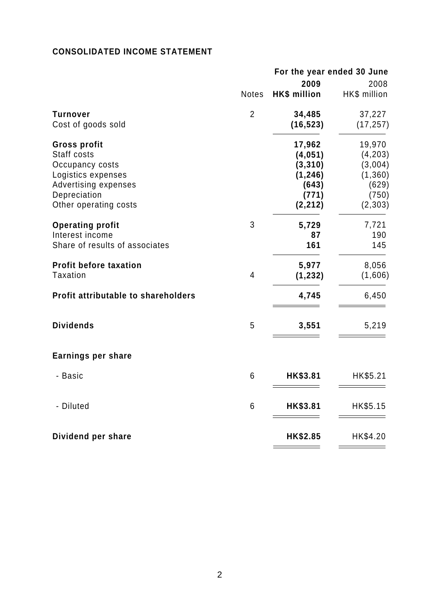# **CONSOLIDATED INCOME STATEMENT**

|                                            |                | For the year ended 30 June |              |  |
|--------------------------------------------|----------------|----------------------------|--------------|--|
|                                            |                | 2009                       | 2008         |  |
|                                            | <b>Notes</b>   | <b>HK\$</b> million        | HK\$ million |  |
| <b>Turnover</b>                            | $\overline{2}$ | 34,485                     | 37,227       |  |
| Cost of goods sold                         |                | (16, 523)                  | (17, 257)    |  |
| <b>Gross profit</b>                        |                | 17,962                     | 19,970       |  |
| Staff costs                                |                | (4,051)                    | (4, 203)     |  |
| Occupancy costs                            |                | (3, 310)                   | (3,004)      |  |
| Logistics expenses                         |                | (1, 246)                   | (1, 360)     |  |
| Advertising expenses                       |                | (643)                      | (629)        |  |
| Depreciation                               |                | (771)                      | (750)        |  |
| Other operating costs                      |                | (2, 212)                   | (2, 303)     |  |
| <b>Operating profit</b>                    | 3              | 5,729                      | 7,721        |  |
| Interest income                            |                | 87                         | 190          |  |
| Share of results of associates             |                | 161                        | 145          |  |
| <b>Profit before taxation</b>              |                | 5,977                      | 8,056        |  |
| <b>Taxation</b>                            | $\overline{4}$ | (1, 232)                   | (1,606)      |  |
| <b>Profit attributable to shareholders</b> |                | 4,745                      | 6,450        |  |
| <b>Dividends</b>                           | 5              | 3,551                      | 5,219        |  |
| <b>Earnings per share</b>                  |                |                            |              |  |
| - Basic                                    | 6              | HK\$3.81                   | HK\$5.21     |  |
| - Diluted                                  | 6              | HK\$3.81                   | HK\$5.15     |  |
| Dividend per share                         |                | HK\$2.85                   | HK\$4.20     |  |
|                                            |                |                            |              |  |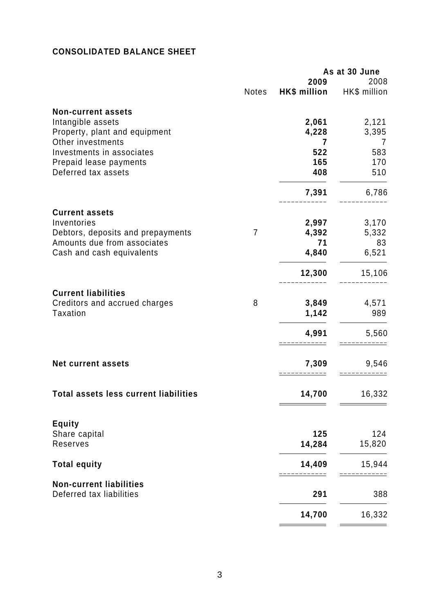# **CONSOLIDATED BALANCE SHEET**

|                                                            |       |              | As at 30 June |
|------------------------------------------------------------|-------|--------------|---------------|
|                                                            |       | 2009         | 2008          |
|                                                            | Notes | HK\$ million | HK\$ million  |
| <b>Non-current assets</b>                                  |       |              |               |
| Intangible assets                                          |       | 2,061        | 2,121         |
|                                                            |       |              |               |
| Property, plant and equipment<br>Other investments         |       | 4,228        | 3,395         |
| Investments in associates                                  |       | 7<br>522     | 7             |
|                                                            |       | 165          | 583           |
| Prepaid lease payments                                     |       |              | 170           |
| Deferred tax assets                                        |       | 408          | 510           |
|                                                            |       | 7,391        | 6,786         |
| <b>Current assets</b>                                      |       |              |               |
| Inventories                                                |       | 2,997        | 3,170         |
| Debtors, deposits and prepayments                          | 7     | 4,392        | 5,332         |
| Amounts due from associates                                |       | 71           | 83            |
| Cash and cash equivalents                                  |       | 4,840        | 6,521         |
|                                                            |       |              |               |
|                                                            |       | 12,300       | 15,106        |
| <b>Current liabilities</b>                                 |       |              |               |
| Creditors and accrued charges                              | 8     | 3,849        | 4,571         |
| <b>Taxation</b>                                            |       | 1,142        | 989           |
|                                                            |       |              |               |
|                                                            |       | 4,991        | 5,560         |
| <b>Net current assets</b>                                  |       | 7,309        | 9,546         |
|                                                            |       |              |               |
| <b>Total assets less current liabilities</b>               |       | 14,700       | 16,332        |
|                                                            |       |              |               |
| <b>Equity</b>                                              |       |              |               |
| Share capital                                              |       | 125          | 124           |
| Reserves                                                   |       | 14,284       | 15,820        |
| <b>Total equity</b>                                        |       | 14,409       | 15,944        |
|                                                            |       |              |               |
| <b>Non-current liabilities</b><br>Deferred tax liabilities |       | 291          | 388           |
|                                                            |       |              |               |
|                                                            |       | 14,700       | 16,332        |
|                                                            |       |              |               |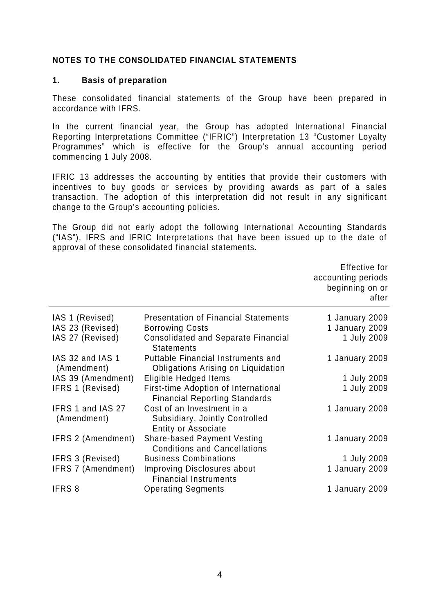## **NOTES TO THE CONSOLIDATED FINANCIAL STATEMENTS**

#### **1. Basis of preparation**

These consolidated financial statements of the Group have been prepared in accordance with IFRS.

In the current financial year, the Group has adopted International Financial Reporting Interpretations Committee ("IFRIC") Interpretation 13 "Customer Loyalty Programmes" which is effective for the Group's annual accounting period commencing 1 July 2008.

IFRIC 13 addresses the accounting by entities that provide their customers with incentives to buy goods or services by providing awards as part of a sales transaction. The adoption of this interpretation did not result in any significant change to the Group's accounting policies.

The Group did not early adopt the following International Accounting Standards ("IAS"), IFRS and IFRIC Interpretations that have been issued up to the date of approval of these consolidated financial statements.

|                                                         |                                                                                                                                          | Effective for<br>accounting periods<br>beginning on or<br>after |
|---------------------------------------------------------|------------------------------------------------------------------------------------------------------------------------------------------|-----------------------------------------------------------------|
| IAS 1 (Revised)<br>IAS 23 (Revised)<br>IAS 27 (Revised) | <b>Presentation of Financial Statements</b><br><b>Borrowing Costs</b><br><b>Consolidated and Separate Financial</b><br><b>Statements</b> | 1 January 2009<br>1 January 2009<br>1 July 2009                 |
| IAS 32 and IAS 1<br>(Amendment)                         | <b>Puttable Financial Instruments and</b><br>Obligations Arising on Liquidation                                                          | 1 January 2009                                                  |
| IAS 39 (Amendment)                                      | Eligible Hedged Items                                                                                                                    | 1 July 2009                                                     |
| <b>IFRS 1 (Revised)</b>                                 | First-time Adoption of International<br><b>Financial Reporting Standards</b>                                                             | 1 July 2009                                                     |
| <b>IFRS 1 and IAS 27</b><br>(Amendment)                 | Cost of an Investment in a<br>Subsidiary, Jointly Controlled<br><b>Entity or Associate</b>                                               | 1 January 2009                                                  |
| <b>IFRS 2 (Amendment)</b>                               | <b>Share-based Payment Vesting</b><br><b>Conditions and Cancellations</b>                                                                | 1 January 2009                                                  |
| <b>IFRS 3 (Revised)</b>                                 | <b>Business Combinations</b>                                                                                                             | 1 July 2009                                                     |
| <b>IFRS 7 (Amendment)</b>                               | <b>Improving Disclosures about</b><br><b>Financial Instruments</b>                                                                       | 1 January 2009                                                  |
| IFRS 8                                                  | <b>Operating Segments</b>                                                                                                                | 1 January 2009                                                  |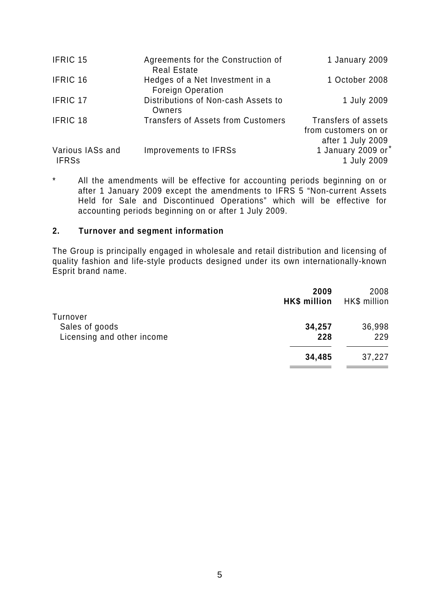| <b>IFRIC 15</b>                  | Agreements for the Construction of                              | 1 January 2009                                |
|----------------------------------|-----------------------------------------------------------------|-----------------------------------------------|
| <b>IFRIC 16</b>                  | <b>Real Estate</b><br>Hedges of a Net Investment in a           | 1 October 2008                                |
| <b>IFRIC 17</b>                  | <b>Foreign Operation</b><br>Distributions of Non-cash Assets to | 1 July 2009                                   |
| IFRIC 18                         | Owners<br><b>Transfers of Assets from Customers</b>             | Transfers of assets                           |
|                                  |                                                                 | from customers on or<br>after 1 July 2009     |
| Various IASs and<br><b>IFRSs</b> | <b>Improvements to IFRSs</b>                                    | 1 January 2009 or <sup>*</sup><br>1 July 2009 |

\* All the amendments will be effective for accounting periods beginning on or after 1 January 2009 except the amendments to IFRS 5 "Non-current Assets Held for Sale and Discontinued Operations" which will be effective for accounting periods beginning on or after 1 July 2009.

## **2. Turnover and segment information**

The Group is principally engaged in wholesale and retail distribution and licensing of quality fashion and life-style products designed under its own internationally-known Esprit brand name.

|                                                          | 2009<br>HK\$ million | 2008<br>HK\$ million |
|----------------------------------------------------------|----------------------|----------------------|
| Turnover<br>Sales of goods<br>Licensing and other income | 34,257<br>228        | 36,998<br>229        |
|                                                          | 34,485               | 37,227               |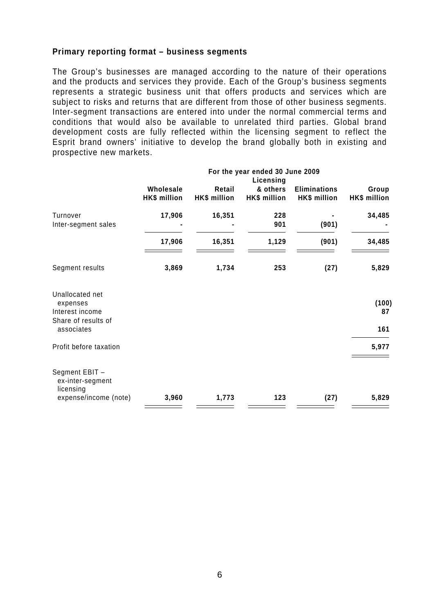#### **Primary reporting format – business segments**

The Group's businesses are managed according to the nature of their operations and the products and services they provide. Each of the Group's business segments represents a strategic business unit that offers products and services which are subject to risks and returns that are different from those of other business segments. Inter-segment transactions are entered into under the normal commercial terms and conditions that would also be available to unrelated third parties. Global brand development costs are fully reflected within the licensing segment to reflect the Esprit brand owners' initiative to develop the brand globally both in existing and prospective new markets.

|                                                                                     |                                  | For the year ended 30 June 2009 |                                       |                                     |                       |
|-------------------------------------------------------------------------------------|----------------------------------|---------------------------------|---------------------------------------|-------------------------------------|-----------------------|
|                                                                                     | Wholesale<br><b>HK\$</b> million | Retail<br>HK\$ million          | Licensing<br>& others<br>HK\$ million | <b>Eliminations</b><br>HK\$ million | Group<br>HK\$ million |
| Turnover<br>Inter-segment sales                                                     | 17,906                           | 16,351                          | 228<br>901                            | (901)                               | 34,485                |
|                                                                                     | 17,906                           | 16,351                          | 1,129                                 | (901)                               | 34,485                |
| Segment results                                                                     | 3,869                            | 1,734                           | 253                                   | (27)                                | 5,829                 |
| Unallocated net<br>expenses<br>Interest income<br>Share of results of<br>associates |                                  |                                 |                                       |                                     | (100)<br>87<br>161    |
| Profit before taxation                                                              |                                  |                                 |                                       |                                     | 5,977                 |
| Segment EBIT -<br>ex-inter-segment<br>licensing                                     |                                  |                                 |                                       |                                     |                       |
| expense/income (note)                                                               | 3,960                            | 1,773                           | 123                                   | (27)                                | 5,829                 |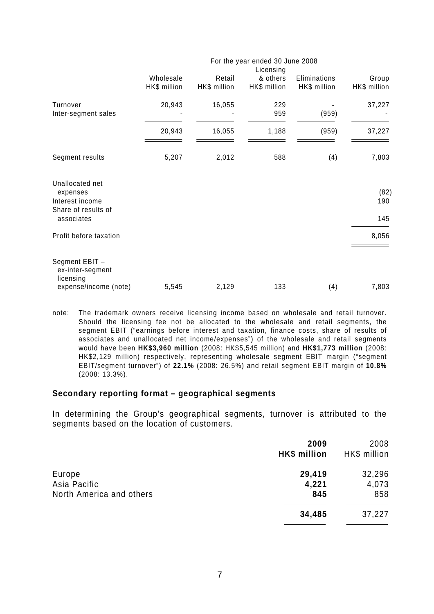|                                                                       | For the year ended 30 June 2008 |                        |                          |                              |                       |
|-----------------------------------------------------------------------|---------------------------------|------------------------|--------------------------|------------------------------|-----------------------|
|                                                                       |                                 |                        | Licensing                |                              |                       |
|                                                                       | Wholesale<br>HK\$ million       | Retail<br>HK\$ million | & others<br>HK\$ million | Eliminations<br>HK\$ million | Group<br>HK\$ million |
| Turnover<br>Inter-segment sales                                       | 20,943                          | 16,055                 | 229<br>959               | (959)                        | 37,227                |
|                                                                       | 20,943                          | 16,055                 | 1,188                    | (959)                        | 37,227                |
| Segment results                                                       | 5,207                           | 2,012                  | 588                      | (4)                          | 7,803                 |
| Unallocated net<br>expenses<br>Interest income<br>Share of results of |                                 |                        |                          |                              | (82)<br>190           |
| associates                                                            |                                 |                        |                          |                              | 145                   |
| Profit before taxation                                                |                                 |                        |                          |                              | 8,056                 |
| Segment EBIT -<br>ex-inter-segment<br>licensing                       |                                 |                        |                          |                              |                       |
| expense/income (note)                                                 | 5,545                           | 2,129                  | 133                      | (4)                          | 7,803                 |

note: The trademark owners receive licensing income based on wholesale and retail turnover. Should the licensing fee not be allocated to the wholesale and retail segments, the segment EBIT ("earnings before interest and taxation, finance costs, share of results of associates and unallocated net income/expenses") of the wholesale and retail segments would have been **HK\$3,960 million** (2008: HK\$5,545 million) and **HK\$1,773 million** (2008: HK\$2,129 million) respectively, representing wholesale segment EBIT margin ("segment EBIT/segment turnover") of **22.1%** (2008: 26.5%) and retail segment EBIT margin of **10.8%**  (2008: 13.3%).

#### **Secondary reporting format – geographical segments**

In determining the Group's geographical segments, turnover is attributed to the segments based on the location of customers.

| 2009<br>HK\$ million | 2008<br>HK\$ million |
|----------------------|----------------------|
| 29,419               | 32,296               |
| 4,221                | 4,073                |
| 845                  | 858                  |
| 34,485               | 37,227               |
|                      |                      |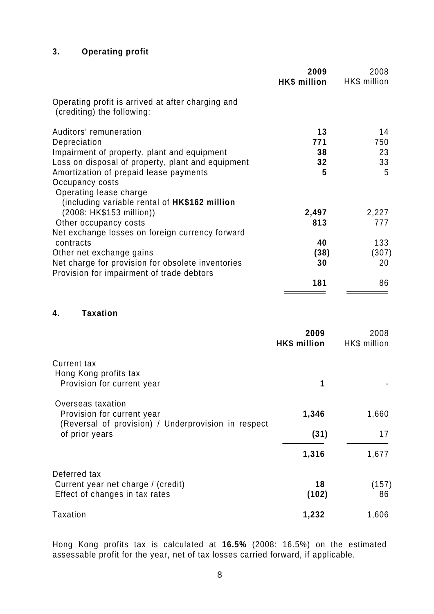# **3. Operating profit**

|                                                                                                | 2009<br>HK\$ million | 2008<br>HK\$ million |
|------------------------------------------------------------------------------------------------|----------------------|----------------------|
| Operating profit is arrived at after charging and<br>(crediting) the following:                |                      |                      |
| Auditors' remuneration                                                                         | 13                   | 14                   |
| Depreciation                                                                                   | 771                  | 750                  |
| Impairment of property, plant and equipment                                                    | 38                   | 23                   |
| Loss on disposal of property, plant and equipment                                              | 32                   | 33                   |
| Amortization of prepaid lease payments                                                         | 5                    | 5                    |
| Occupancy costs<br>Operating lease charge                                                      |                      |                      |
| (including variable rental of HK\$162 million                                                  |                      |                      |
| (2008: HK\$153 million))                                                                       | 2,497                | 2,227                |
| Other occupancy costs                                                                          | 813                  | 777                  |
| Net exchange losses on foreign currency forward                                                |                      |                      |
| contracts                                                                                      | 40                   | 133                  |
| Other net exchange gains                                                                       | (38)                 | (307)                |
| Net charge for provision for obsolete inventories<br>Provision for impairment of trade debtors | 30                   | 20                   |
|                                                                                                | 181                  | 86                   |

#### **4. Taxation**

|                                                                                                        | 2009<br>HK\$ million | 2008<br>HK\$ million |
|--------------------------------------------------------------------------------------------------------|----------------------|----------------------|
| <b>Current tax</b><br>Hong Kong profits tax<br>Provision for current year                              | 1                    |                      |
| Overseas taxation<br>Provision for current year<br>(Reversal of provision) / Underprovision in respect | 1,346                | 1,660                |
| of prior years                                                                                         | (31)                 | 17                   |
|                                                                                                        | 1,316                | 1,677                |
| Deferred tax<br>Current year net charge / (credit)<br>Effect of changes in tax rates                   | 18<br>(102)          | (157)<br>86          |
| Taxation                                                                                               | 1,232                | 1,606                |

Hong Kong profits tax is calculated at **16.5%** (2008: 16.5%) on the estimated assessable profit for the year, net of tax losses carried forward, if applicable.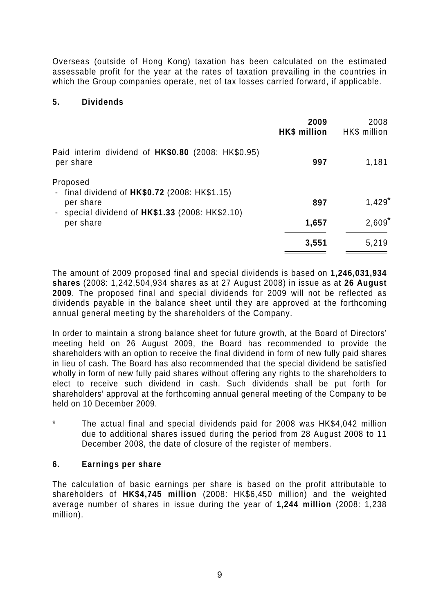Overseas (outside of Hong Kong) taxation has been calculated on the estimated assessable profit for the year at the rates of taxation prevailing in the countries in which the Group companies operate, net of tax losses carried forward, if applicable.

#### **5. Dividends**

|                                                                         | 2009<br><b>HK\$</b> million | 2008<br>HK\$ million |
|-------------------------------------------------------------------------|-----------------------------|----------------------|
| Paid interim dividend of HK\$0.80 (2008: HK\$0.95)<br>per share         | 997                         | 1,181                |
| Proposed<br>- final dividend of $HK$0.72$ (2008: HK\$1.15)<br>per share | 897                         | $1,429$ <sup>*</sup> |
| - special dividend of $HK$1.33$ (2008: HK\$2.10)<br>per share           | 1,657                       | $2,609$ <sup>*</sup> |
|                                                                         | 3,551                       | 5,219                |

The amount of 2009 proposed final and special dividends is based on **1,246,031,934 shares** (2008: 1,242,504,934 shares as at 27 August 2008) in issue as at **26 August 2009**. The proposed final and special dividends for 2009 will not be reflected as dividends payable in the balance sheet until they are approved at the forthcoming annual general meeting by the shareholders of the Company.

In order to maintain a strong balance sheet for future growth, at the Board of Directors' meeting held on 26 August 2009, the Board has recommended to provide the shareholders with an option to receive the final dividend in form of new fully paid shares in lieu of cash. The Board has also recommended that the special dividend be satisfied wholly in form of new fully paid shares without offering any rights to the shareholders to elect to receive such dividend in cash. Such dividends shall be put forth for shareholders' approval at the forthcoming annual general meeting of the Company to be held on 10 December 2009.

The actual final and special dividends paid for 2008 was HK\$4,042 million due to additional shares issued during the period from 28 August 2008 to 11 December 2008, the date of closure of the register of members.

# **6. Earnings per share**

The calculation of basic earnings per share is based on the profit attributable to shareholders of **HK\$4,745 million** (2008: HK\$6,450 million) and the weighted average number of shares in issue during the year of **1,244 million** (2008: 1,238 million).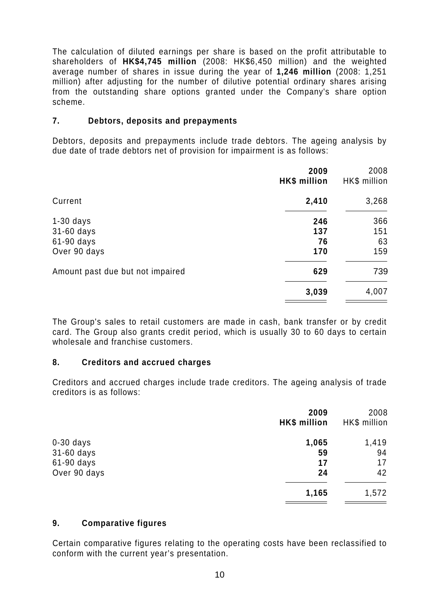The calculation of diluted earnings per share is based on the profit attributable to shareholders of **HK\$4,745 million** (2008: HK\$6,450 million) and the weighted average number of shares in issue during the year of **1,246 million** (2008: 1,251 million) after adjusting for the number of dilutive potential ordinary shares arising from the outstanding share options granted under the Company's share option scheme.

#### **7. Debtors, deposits and prepayments**

Debtors, deposits and prepayments include trade debtors. The ageing analysis by due date of trade debtors net of provision for impairment is as follows:

| 2009<br>HK\$ million | 2008<br>HK\$ million |
|----------------------|----------------------|
| 2,410                | 3,268                |
| 246                  | 366                  |
| 137                  | 151                  |
| 76                   | 63                   |
| 170                  | 159                  |
| 629                  | 739                  |
| 3,039                | 4,007                |
|                      |                      |

The Group's sales to retail customers are made in cash, bank transfer or by credit card. The Group also grants credit period, which is usually 30 to 60 days to certain wholesale and franchise customers.

#### **8. Creditors and accrued charges**

Creditors and accrued charges include trade creditors. The ageing analysis of trade creditors is as follows:

|              | 2009<br>HK\$ million | 2008<br>HK\$ million |
|--------------|----------------------|----------------------|
| $0-30$ days  | 1,065                | 1,419                |
| 31-60 days   | 59                   | 94                   |
| 61-90 days   | 17                   | 17                   |
| Over 90 days | 24                   | 42                   |
|              | 1,165                | 1,572                |

#### **9. Comparative figures**

Certain comparative figures relating to the operating costs have been reclassified to conform with the current year's presentation.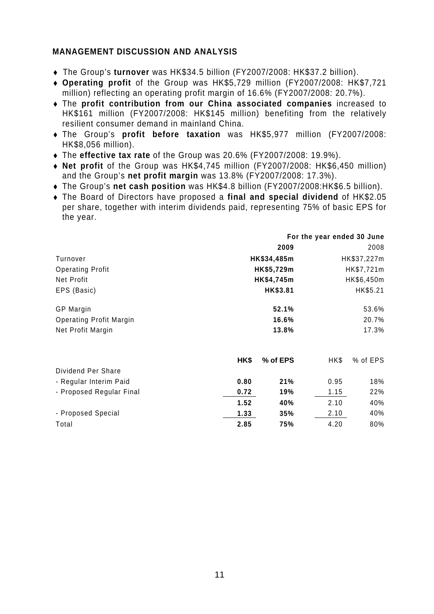## **MANAGEMENT DISCUSSION AND ANALYSIS**

- ♦ The Group's **turnover** was HK\$34.5 billion (FY2007/2008: HK\$37.2 billion).
- ♦ **Operating profit** of the Group was HK\$5,729 million (FY2007/2008: HK\$7,721 million) reflecting an operating profit margin of 16.6% (FY2007/2008: 20.7%).
- ♦ The **profit contribution from our China associated companies** increased to HK\$161 million (FY2007/2008: HK\$145 million) benefiting from the relatively resilient consumer demand in mainland China.
- ♦ The Group's **profit before taxation** was HK\$5,977 million (FY2007/2008: HK\$8,056 million).
- ♦ The **effective tax rate** of the Group was 20.6% (FY2007/2008: 19.9%).
- ♦ **Net profit** of the Group was HK\$4,745 million (FY2007/2008: HK\$6,450 million) and the Group's **net profit margin** was 13.8% (FY2007/2008: 17.3%).
- ♦ The Group's **net cash position** was HK\$4.8 billion (FY2007/2008:HK\$6.5 billion).
- ♦ The Board of Directors have proposed a **final and special dividend** of HK\$2.05 per share, together with interim dividends paid, representing 75% of basic EPS for the year.

|                                | For the year ended 30 June |             |      |             |
|--------------------------------|----------------------------|-------------|------|-------------|
|                                |                            | 2009        |      | 2008        |
| Turnover                       |                            | HK\$34,485m |      | HK\$37,227m |
| <b>Operating Profit</b>        |                            | HK\$5,729m  |      | HK\$7,721m  |
| Net Profit                     |                            | HK\$4,745m  |      | HK\$6,450m  |
| EPS (Basic)                    |                            | HK\$3.81    |      | HK\$5.21    |
| <b>GP Margin</b>               |                            | 52.1%       |      | 53.6%       |
| <b>Operating Profit Margin</b> |                            | 16.6%       |      | 20.7%       |
| Net Profit Margin              |                            | 13.8%       |      | 17.3%       |
|                                | HK\$                       | % of EPS    | HK\$ | % of EPS    |
| Dividend Per Share             |                            |             |      |             |
| - Regular Interim Paid         | 0.80                       | 21%         | 0.95 | 18%         |
| - Proposed Regular Final       | 0.72                       | 19%         | 1.15 | 22%         |
|                                | 1.52                       | 40%         | 2.10 | 40%         |
| - Proposed Special             | 1.33                       | 35%         | 2.10 | 40%         |
| Total                          | 2.85                       | 75%         | 4.20 | 80%         |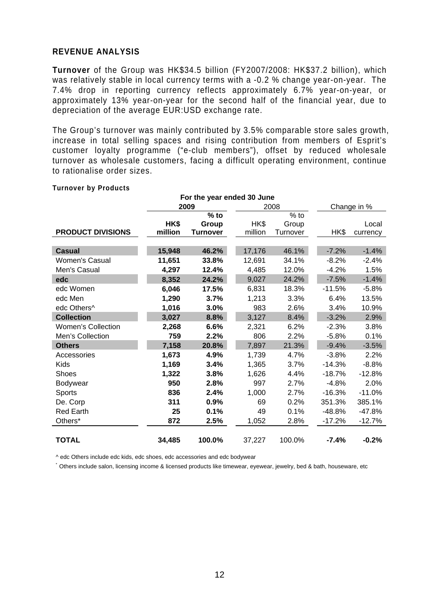#### **REVENUE ANALYSIS**

**Turnover** of the Group was HK\$34.5 billion (FY2007/2008: HK\$37.2 billion), which was relatively stable in local currency terms with a -0.2 % change year-on-year. The 7.4% drop in reporting currency reflects approximately 6.7% year-on-year, or approximately 13% year-on-year for the second half of the financial year, due to depreciation of the average EUR:USD exchange rate.

The Group's turnover was mainly contributed by 3.5% comparable store sales growth, increase in total selling spaces and rising contribution from members of Esprit's customer loyalty programme ("e-club members"), offset by reduced wholesale turnover as wholesale customers, facing a difficult operating environment, continue to rationalise order sizes.

| For the year ended 30 June |              |                 |         |                  |          |          |  |
|----------------------------|--------------|-----------------|---------|------------------|----------|----------|--|
|                            | 2008<br>2009 |                 |         | Change in %      |          |          |  |
|                            |              | $%$ to          |         | $\frac{1}{6}$ to |          |          |  |
|                            | HK\$         | Group           | HK\$    | Group            |          | Local    |  |
| <b>PRODUCT DIVISIONS</b>   | million      | <b>Turnover</b> | million | Turnover         | HK\$     | currency |  |
|                            |              |                 |         |                  |          |          |  |
| <b>Casual</b>              | 15,948       | 46.2%           | 17,176  | 46.1%            | $-7.2%$  | $-1.4%$  |  |
| <b>Women's Casual</b>      | 11,651       | 33.8%           | 12,691  | 34.1%            | $-8.2%$  | $-2.4%$  |  |
| Men's Casual               | 4,297        | 12.4%           | 4,485   | 12.0%            | $-4.2%$  | 1.5%     |  |
| edc                        | 8,352        | 24.2%           | 9,027   | 24.2%            | $-7.5%$  | $-1.4%$  |  |
| edc Women                  | 6,046        | 17.5%           | 6,831   | 18.3%            | $-11.5%$ | $-5.8%$  |  |
| edc Men                    | 1,290        | 3.7%            | 1,213   | 3.3%             | 6.4%     | 13.5%    |  |
| edc Others <sup>^</sup>    | 1,016        | 3.0%            | 983     | 2.6%             | 3.4%     | 10.9%    |  |
| <b>Collection</b>          | 3,027        | 8.8%            | 3,127   | 8.4%             | $-3.2%$  | 2.9%     |  |
| <b>Women's Collection</b>  | 2,268        | 6.6%            | 2,321   | 6.2%             | $-2.3%$  | 3.8%     |  |
| Men's Collection           | 759          | 2.2%            | 806     | 2.2%             | $-5.8%$  | 0.1%     |  |
| <b>Others</b>              | 7,158        | 20.8%           | 7,897   | 21.3%            | $-9.4%$  | $-3.5%$  |  |
| Accessories                | 1,673        | 4.9%            | 1,739   | 4.7%             | $-3.8%$  | 2.2%     |  |
| Kids                       | 1,169        | 3.4%            | 1,365   | 3.7%             | $-14.3%$ | $-8.8%$  |  |
| <b>Shoes</b>               | 1,322        | 3.8%            | 1,626   | 4.4%             | $-18.7%$ | $-12.8%$ |  |
| Bodywear                   | 950          | 2.8%            | 997     | 2.7%             | $-4.8%$  | 2.0%     |  |
| Sports                     | 836          | 2.4%            | 1,000   | 2.7%             | $-16.3%$ | $-11.0%$ |  |
| De. Corp                   | 311          | 0.9%            | 69      | 0.2%             | 351.3%   | 385.1%   |  |
| <b>Red Earth</b>           | 25           | 0.1%            | 49      | 0.1%             | $-48.8%$ | $-47.8%$ |  |
| Others*                    | 872          | 2.5%            | 1,052   | 2.8%             | $-17.2%$ | $-12.7%$ |  |
|                            |              |                 |         |                  |          |          |  |
| <b>TOTAL</b>               | 34,485       | 100.0%          | 37,227  | 100.0%           | $-7.4%$  | $-0.2%$  |  |

#### **Turnover by Products**

^ edc Others include edc kids, edc shoes, edc accessories and edc bodywear

\* Others include salon, licensing income & licensed products like timewear, eyewear, jewelry, bed & bath, houseware, etc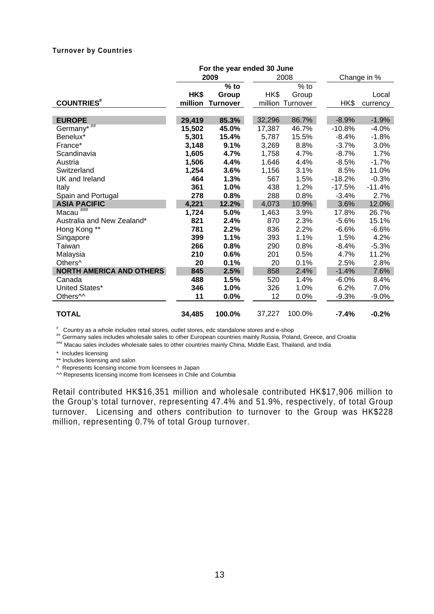#### **Turnover by Countries**

|                                 | For the year ended 30 June |                 |        |                  |          |             |
|---------------------------------|----------------------------|-----------------|--------|------------------|----------|-------------|
|                                 |                            | 2009            |        | 2008             |          | Change in % |
|                                 |                            | $%$ to          |        | $%$ to           |          |             |
|                                 | HK\$                       | Group           | HK\$   | Group            |          | Local       |
| <b>COUNTRIES</b> #              | million                    | <b>Turnover</b> |        | million Turnover | HK\$     | currency    |
|                                 |                            |                 |        |                  |          |             |
| <b>EUROPE</b>                   | 29,419                     | 85.3%           | 32,296 | 86.7%            | $-8.9%$  | $-1.9%$     |
| Germany*##                      | 15,502                     | 45.0%           | 17,387 | 46.7%            | $-10.8%$ | $-4.0%$     |
| Benelux*                        | 5,301                      | 15.4%           | 5,787  | 15.5%            | $-8.4%$  | $-1.8%$     |
| France*                         | 3,148                      | 9.1%            | 3,269  | 8.8%             | $-3.7%$  | 3.0%        |
| Scandinavia                     | 1,605                      | 4.7%            | 1,758  | 4.7%             | $-8.7\%$ | 1.7%        |
| Austria                         | 1,506                      | 4.4%            | 1,646  | 4.4%             | $-8.5%$  | $-1.7%$     |
| Switzerland                     | 1,254                      | 3.6%            | 1,156  | 3.1%             | 8.5%     | 11.0%       |
| UK and Ireland                  | 464                        | 1.3%            | 567    | 1.5%             | $-18.2%$ | $-0.3%$     |
| Italy                           | 361                        | 1.0%            | 438    | 1.2%             | $-17.5%$ | $-11.4%$    |
| Spain and Portugal              | 278                        | 0.8%            | 288    | 0.8%             | $-3.4%$  | 2.7%        |
| <b>ASIA PACIFIC</b>             | 4,221                      | 12.2%           | 4,073  | 10.9%            | 3.6%     | 12.0%       |
| Macau <sup>###</sup>            | 1,724                      | 5.0%            | 1,463  | 3.9%             | 17.8%    | 26.7%       |
| Australia and New Zealand*      | 821                        | 2.4%            | 870    | 2.3%             | $-5.6%$  | 15.1%       |
| Hong Kong **                    | 781                        | 2.2%            | 836    | 2.2%             | $-6.6%$  | $-6.6%$     |
| Singapore                       | 399                        | 1.1%            | 393    | 1.1%             | 1.5%     | 4.2%        |
| Taiwan                          | 266                        | 0.8%            | 290    | 0.8%             | -8.4%    | $-5.3%$     |
| Malaysia                        | 210                        | 0.6%            | 201    | 0.5%             | 4.7%     | 11.2%       |
| Others <sup>^</sup>             | 20                         | 0.1%            | 20     | 0.1%             | 2.5%     | 2.8%        |
| <b>NORTH AMERICA AND OTHERS</b> | 845                        | 2.5%            | 858    | 2.4%             | $-1.4%$  | 7.6%        |
| Canada                          | 488                        | 1.5%            | 520    | 1.4%             | $-6.0%$  | 8.4%        |
| United States*                  | 346                        | 1.0%            | 326    | 1.0%             | 6.2%     | 7.0%        |
| Others <sup>^^</sup>            | 11                         | 0.0%            | 12     | 0.0%             | $-9.3%$  | $-9.0\%$    |
| <b>TOTAL</b>                    | 34,485                     | 100.0%          | 37,227 | 100.0%           | $-7.4%$  | $-0.2%$     |

#

"" Germany sales includes wholesale sales to other European countries mainly Russia, Poland, Greece, and Croatia<br>""" Macau sales includes wholesale sales to other countries mainly China, Middle East, Thailand, and India

\* Includes licensing

\*\* Includes licensing and salon

^ Represents licensing income from licensees in Japan

^^ Represents licensing income from licensees in Chile and Columbia

Retail contributed HK\$16,351 million and wholesale contributed HK\$17,906 million to the Group's total turnover, representing 47.4% and 51.9%, respectively, of total Group turnover. Licensing and others contribution to turnover to the Group was HK\$228 million, representing 0.7% of total Group turnover.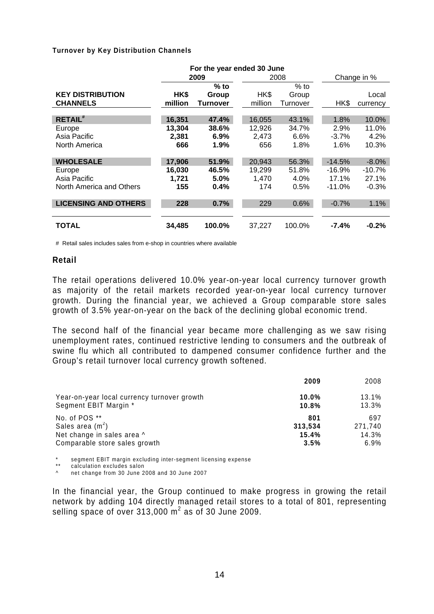#### **Turnover by Key Distribution Channels**

|                             |         | For the year ended 30 June |         |          |          |             |  |
|-----------------------------|---------|----------------------------|---------|----------|----------|-------------|--|
|                             |         | 2009                       |         | 2008     |          | Change in % |  |
|                             |         | $%$ to                     |         | $%$ to   |          |             |  |
| <b>KEY DISTRIBUTION</b>     | HK\$    | Group                      | HK\$    | Group    |          | Local       |  |
| <b>CHANNELS</b>             | million | Turnover                   | million | Turnover | HK\$     | currency    |  |
|                             |         |                            |         |          |          |             |  |
| <b>RETAIL</b> #             | 16,351  | 47.4%                      | 16,055  | 43.1%    | 1.8%     | 10.0%       |  |
| Europe                      | 13.304  | 38.6%                      | 12,926  | 34.7%    | 2.9%     | 11.0%       |  |
| Asia Pacific                | 2,381   | 6.9%                       | 2,473   | 6.6%     | $-3.7%$  | 4.2%        |  |
| North America               | 666     | 1.9%                       | 656     | 1.8%     | 1.6%     | 10.3%       |  |
|                             |         |                            |         |          |          |             |  |
| <b>WHOLESALE</b>            | 17,906  | 51.9%                      | 20,943  | 56.3%    | $-14.5%$ | $-8.0%$     |  |
| Europe                      | 16,030  | 46.5%                      | 19,299  | 51.8%    | $-16.9%$ | $-10.7%$    |  |
| Asia Pacific                | 1,721   | 5.0%                       | 1,470   | 4.0%     | 17.1%    | 27.1%       |  |
| North America and Others    | 155     | 0.4%                       | 174     | 0.5%     | $-11.0%$ | $-0.3%$     |  |
|                             |         |                            |         |          |          |             |  |
| <b>LICENSING AND OTHERS</b> | 228     | 0.7%                       | 229     | 0.6%     | $-0.7%$  | 1.1%        |  |
|                             |         |                            |         |          |          |             |  |
| <b>TOTAL</b>                | 34,485  | 100.0%                     | 37,227  | 100.0%   | $-7.4%$  | $-0.2%$     |  |
|                             |         |                            |         |          |          |             |  |

# Retail sales includes sales from e-shop in countries where available

#### **Retail**

The retail operations delivered 10.0% year-on-year local currency turnover growth as majority of the retail markets recorded year-on-year local currency turnover growth. During the financial year, we achieved a Group comparable store sales growth of 3.5% year-on-year on the back of the declining global economic trend.

The second half of the financial year became more challenging as we saw rising unemployment rates, continued restrictive lending to consumers and the outbreak of swine flu which all contributed to dampened consumer confidence further and the Group's retail turnover local currency growth softened.

|                                             | 2009     | 2008    |
|---------------------------------------------|----------|---------|
| Year-on-year local currency turnover growth | $10.0\%$ | 13.1%   |
| Segment EBIT Margin *                       | 10.8%    | 13.3%   |
| No. of POS **                               | 801      | 697     |
| Sales area $(m2)$                           | 313,534  | 271,740 |
| Net change in sales area ^                  | 15.4%    | 14.3%   |
| Comparable store sales growth               | 3.5%     | $6.9\%$ |

\* segment EBIT margin excluding inter-segment licensing expense

\*\* calculation excludes salon

^ net change from 30 June 2008 and 30 June 2007

In the financial year, the Group continued to make progress in growing the retail network by adding 104 directly managed retail stores to a total of 801, representing selling space of over 313,000  $m^2$  as of 30 June 2009.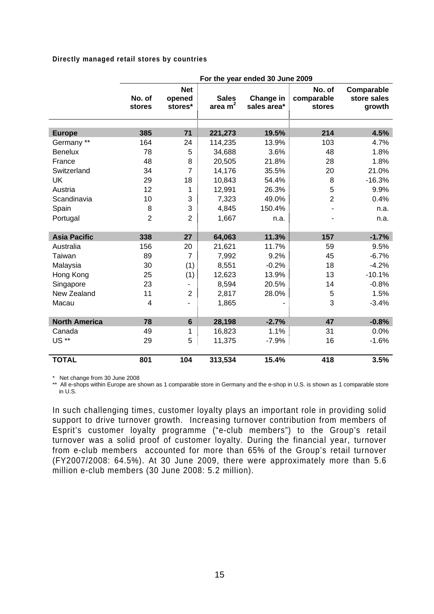#### **Directly managed retail stores by countries**

|                      | For the year ended 30 June 2009 |                                 |                           |                          |                                |                                     |  |  |  |
|----------------------|---------------------------------|---------------------------------|---------------------------|--------------------------|--------------------------------|-------------------------------------|--|--|--|
|                      | No. of<br>stores                | <b>Net</b><br>opened<br>stores* | <b>Sales</b><br>area $m2$ | Change in<br>sales area* | No. of<br>comparable<br>stores | Comparable<br>store sales<br>growth |  |  |  |
| <b>Europe</b>        | 385                             | 71                              | 221,273                   | 19.5%                    | 214                            | 4.5%                                |  |  |  |
| Germany **           | 164                             | 24                              | 114,235                   | 13.9%                    | 103                            | 4.7%                                |  |  |  |
| <b>Benelux</b>       | 78                              | 5                               | 34,688                    | 3.6%                     | 48                             | 1.8%                                |  |  |  |
| France               | 48                              | 8                               | 20,505                    | 21.8%                    | 28                             | 1.8%                                |  |  |  |
| Switzerland          | 34                              | $\overline{7}$                  | 14,176                    | 35.5%                    | 20                             | 21.0%                               |  |  |  |
| <b>UK</b>            | 29                              | 18                              | 10,843                    | 54.4%                    | 8                              | $-16.3%$                            |  |  |  |
| Austria              | 12                              | 1                               | 12,991                    | 26.3%                    | 5                              | 9.9%                                |  |  |  |
| Scandinavia          | 10                              | 3                               | 7,323                     | 49.0%                    | $\overline{2}$                 | 0.4%                                |  |  |  |
| Spain                | 8                               | 3                               | 4,845                     | 150.4%                   |                                | n.a.                                |  |  |  |
| Portugal             | $\overline{2}$                  | $\overline{2}$                  | 1,667                     | n.a.                     |                                | n.a.                                |  |  |  |
|                      |                                 |                                 |                           |                          |                                |                                     |  |  |  |
| <b>Asia Pacific</b>  | 338                             | 27                              | 64,063                    | 11.3%                    | 157                            | $-1.7%$                             |  |  |  |
| Australia            | 156                             | 20                              | 21,621                    | 11.7%                    | 59                             | 9.5%                                |  |  |  |
| Taiwan               | 89                              | $\overline{7}$                  | 7,992                     | 9.2%                     | 45                             | $-6.7%$                             |  |  |  |
| Malaysia             | 30                              | (1)                             | 8,551                     | $-0.2%$                  | 18                             | $-4.2%$                             |  |  |  |
| Hong Kong            | 25                              | (1)                             | 12,623                    | 13.9%                    | 13                             | $-10.1%$                            |  |  |  |
| Singapore            | 23                              | -                               | 8,594                     | 20.5%                    | 14                             | $-0.8%$                             |  |  |  |
| New Zealand          | 11                              | $\overline{2}$                  | 2,817                     | 28.0%                    | $\,$ 5 $\,$                    | 1.5%                                |  |  |  |
| Macau                | 4                               | ٠                               | 1,865                     |                          | 3                              | $-3.4%$                             |  |  |  |
|                      |                                 |                                 |                           |                          |                                |                                     |  |  |  |
| <b>North America</b> | 78                              | $6\phantom{a}$                  | 28,198                    | $-2.7%$                  | 47                             | $-0.8%$                             |  |  |  |
| Canada               | 49                              | 1                               | 16,823                    | 1.1%                     | 31                             | 0.0%                                |  |  |  |
| US **                | 29                              | 5                               | 11,375                    | $-7.9%$                  | 16                             | $-1.6%$                             |  |  |  |
| <b>TOTAL</b>         | 801                             | 104                             | 313,534                   | 15.4%                    | 418                            | 3.5%                                |  |  |  |

\* Net change from 30 June 2008

\*\* All e-shops within Europe are shown as 1 comparable store in Germany and the e-shop in U.S. is shown as 1 comparable store in U.S.

In such challenging times, customer loyalty plays an important role in providing solid support to drive turnover growth. Increasing turnover contribution from members of Esprit's customer loyalty programme ("e-club members") to the Group's retail turnover was a solid proof of customer loyalty. During the financial year, turnover from e-club members accounted for more than 65% of the Group's retail turnover (FY2007/2008: 64.5%). At 30 June 2009, there were approximately more than 5.6 million e-club members (30 June 2008: 5.2 million).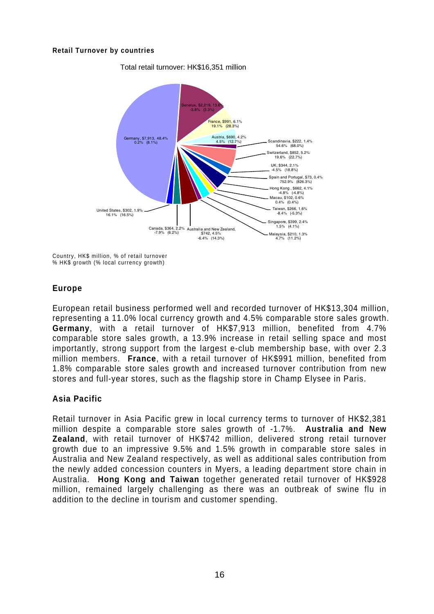#### **Retail Turnover by countries**



Total retail turnover: HK\$16,351 million

Country, HK\$ million, % of retail turnover % HK\$ growth (% local currency growth)

## **Europe**

European retail business performed well and recorded turnover of HK\$13,304 million, representing a 11.0% local currency growth and 4.5% comparable store sales growth. **Germany**, with a retail turnover of HK\$7,913 million, benefited from 4.7% comparable store sales growth, a 13.9% increase in retail selling space and most importantly, strong support from the largest e-club membership base, with over 2.3 million members. **France**, with a retail turnover of HK\$991 million, benefited from 1.8% comparable store sales growth and increased turnover contribution from new stores and full-year stores, such as the flagship store in Champ Elysee in Paris.

# **Asia Pacific**

Retail turnover in Asia Pacific grew in local currency terms to turnover of HK\$2,381 million despite a comparable store sales growth of -1.7%. **Australia and New Zealand**, with retail turnover of HK\$742 million, delivered strong retail turnover growth due to an impressive 9.5% and 1.5% growth in comparable store sales in Australia and New Zealand respectively, as well as additional sales contribution from the newly added concession counters in Myers, a leading department store chain in Australia. **Hong Kong and Taiwan** together generated retail turnover of HK\$928 million, remained largely challenging as there was an outbreak of swine flu in addition to the decline in tourism and customer spending.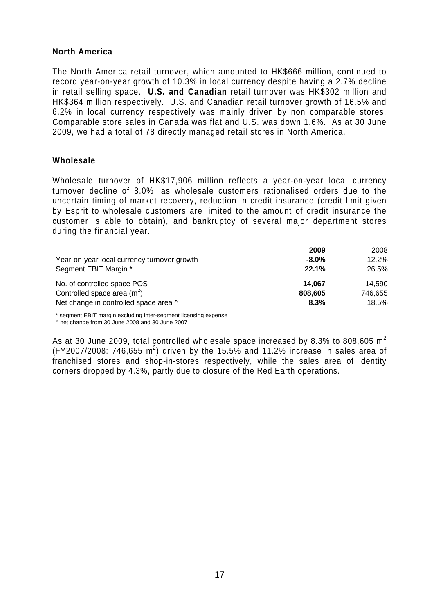#### **North America**

The North America retail turnover, which amounted to HK\$666 million, continued to record year-on-year growth of 10.3% in local currency despite having a 2.7% decline in retail selling space. **U.S. and Canadian** retail turnover was HK\$302 million and HK\$364 million respectively. U.S. and Canadian retail turnover growth of 16.5% and 6.2% in local currency respectively was mainly driven by non comparable stores. Comparable store sales in Canada was flat and U.S. was down 1.6%. As at 30 June 2009, we had a total of 78 directly managed retail stores in North America.

#### **Wholesale**

Wholesale turnover of HK\$17,906 million reflects a year-on-year local currency turnover decline of 8.0%, as wholesale customers rationalised orders due to the uncertain timing of market recovery, reduction in credit insurance (credit limit given by Esprit to wholesale customers are limited to the amount of credit insurance the customer is able to obtain), and bankruptcy of several major department stores during the financial year.

|                                             | 2009     | 2008    |
|---------------------------------------------|----------|---------|
| Year-on-year local currency turnover growth | $-8.0\%$ | 12.2%   |
| Segment EBIT Margin *                       | 22.1%    | 26.5%   |
| No. of controlled space POS                 | 14.067   | 14.590  |
| Controlled space area $(m2)$                | 808,605  | 746.655 |
| Net change in controlled space area ^       | 8.3%     | 18.5%   |

\* segment EBIT margin excluding inter-segment licensing expense

^ net change from 30 June 2008 and 30 June 2007

As at 30 June 2009, total controlled wholesale space increased by 8.3% to 808,605  $m^2$ (FY2007/2008: 746,655 m<sup>2</sup>) driven by the 15.5% and 11.2% increase in sales area of franchised stores and shop-in-stores respectively, while the sales area of identity corners dropped by 4.3%, partly due to closure of the Red Earth operations.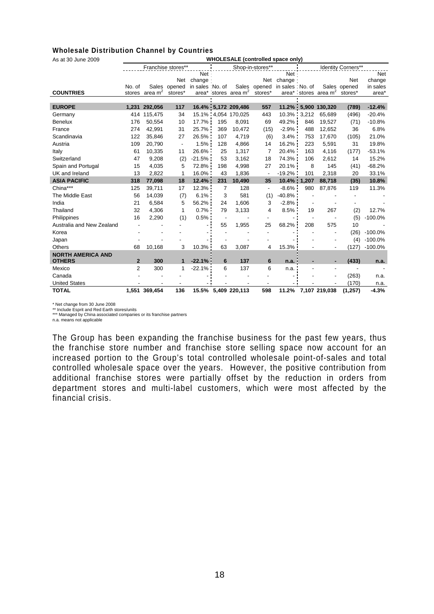#### **Wholesale Distribution Channel by Countries**

As at 30 June 2009 **WHOLESALE (controlled space only)** 

| AS AL JU JUIK ZUUJ        | <b></b><br>OLLOWLL (COMMONED Space OM |               |                          |                 |                |                                  |                          |                   |                    |                        |              |            |
|---------------------------|---------------------------------------|---------------|--------------------------|-----------------|----------------|----------------------------------|--------------------------|-------------------|--------------------|------------------------|--------------|------------|
|                           |                                       |               | Franchise stores**       |                 |                |                                  | Shop-in-stores**         |                   | Identity Corners** |                        |              |            |
|                           |                                       |               |                          | Net ·           |                |                                  |                          | Net ·             |                    |                        |              | <b>Net</b> |
|                           |                                       |               | Net                      | change:         |                |                                  | Net                      | change:           |                    |                        | <b>Net</b>   | change     |
|                           | No. of                                |               | Sales opened             | in sales No. of |                | Sales                            | opened                   | in sales : No. of |                    |                        | Sales opened | in sales   |
| <b>COUNTRIES</b>          | stores                                | area $m2$     | stores*                  |                 |                | area* stores area m <sup>2</sup> | stores*                  |                   |                    | area* stores area $m2$ | stores*      | area*      |
|                           |                                       |               |                          |                 |                |                                  |                          |                   |                    |                        |              |            |
| <b>EUROPE</b>             | 1,231                                 | 292,056       | 117                      |                 |                | 16.4% 5,172 209,486              | 557                      | 11.2%             |                    | 5,900 130,320          | (789)        | $-12.4%$   |
| Germany                   | 414                                   | 115,475       | 34                       |                 |                | 15.1% 4.054 170.025              | 443                      | 10.3%             | 3,212              | 65.689                 | (496)        | $-20.4%$   |
| <b>Benelux</b>            | 176                                   | 50,554        | 10                       | 17.7%           | 195            | 8,091                            | 69                       | 49.2%             | 846                | 19,527                 | (71)         | $-10.8%$   |
| France                    | 274                                   | 42,991        | 31                       | 25.7%           | 369            | 10,472                           | (15)                     | $-2.9%$           | 488                | 12,652                 | 36           | 6.8%       |
| Scandinavia               | 122                                   | 35,846        | 27                       | 26.5%           | 107            | 4,719                            | (6)                      | 3.4%              | 753                | 17,670                 | (105)        | 21.0%      |
| Austria                   | 109                                   | 20,790        | $\overline{\phantom{a}}$ | 1.5%            | 128            | 4,866                            | 14                       | 16.2%             | 223                | 5,591                  | 31           | 19.8%      |
| Italy                     | 61                                    | 10,335        | 11                       | 26.6%           | 25             | 1,317                            | 7                        | 20.4%             | 163                | 4,116                  | (177)        | $-53.1%$   |
| Switzerland               | 47                                    | 9,208         | (2)                      | $-21.5%$        | 53             | 3,162                            | 18                       | 74.3%             | 106                | 2,612                  | 14           | 15.2%      |
| Spain and Portugal        | 15                                    | 4,035         | 5                        | 72.8%           | 198            | 4,998                            | 27                       | 20.1%             | 8                  | 145                    | (41)         | $-68.2%$   |
| UK and Ireland            | 13                                    | 2,822         | 1                        | 16.0%           | 43             | 1,836                            | $\overline{\phantom{a}}$ | $-19.2%$          | 101                | 2,318                  | 20           | 33.1%      |
| <b>ASIA PACIFIC</b>       | 318                                   | 77,098        | 18                       | 12.4%           | 231            | 10,490                           | 35                       | 10.4%             | 1,207              | 88,718                 | (35)         | 10.8%      |
| China***                  | 125                                   | 39,711        | 17                       | 12.3%           | $\overline{7}$ | 128                              | $\overline{\phantom{a}}$ | $-8.6%$           | 980                | 87,876                 | 119          | 11.3%      |
| The Middle East           | 56                                    | 14,039        | (7)                      | 6.1%            | 3              | 581                              | (1)                      | $-40.8%$          |                    |                        |              |            |
| India                     | 21                                    | 6,584         | 5                        | 56.2%           | 24             | 1,606                            | 3                        | $-2.8%$           |                    |                        |              |            |
| Thailand                  | 32                                    | 4,306         | 1                        | $0.7\%$         | 79             | 3,133                            | 4                        | 8.5%              | 19                 | 267                    | (2)          | 12.7%      |
| Philippines               | 16                                    | 2,290         | (1)                      | 0.5%            |                |                                  |                          |                   |                    |                        | (5)          | $-100.0%$  |
| Australia and New Zealand |                                       |               |                          |                 | 55             | 1,955                            | 25                       | 68.2%             | 208                | 575                    | 10           |            |
| Korea                     |                                       |               |                          |                 |                |                                  |                          |                   |                    |                        | (26)         | $-100.0%$  |
| Japan                     |                                       |               |                          |                 |                |                                  |                          |                   |                    |                        | (4)          | $-100.0%$  |
| <b>Others</b>             | 68                                    | 10,168        | 3                        | 10.3%           | 63             | 3,087                            | 4                        | 15.3%             |                    | $\blacksquare$         | (127)        | $-100.0%$  |
| <b>NORTH AMERICA AND</b>  |                                       |               |                          |                 |                |                                  |                          |                   |                    |                        |              |            |
| <b>OTHERS</b>             | $\overline{2}$                        | 300           | $\mathbf 1$              | $-22.1%$        | 6              | 137                              | 6                        | n.a.              |                    |                        | (433)        | n.a.       |
| Mexico                    | 2                                     | 300           | 1                        | $-22.1%$        | 6              | 137                              | 6                        | n.a.              |                    |                        |              |            |
| Canada                    |                                       |               |                          |                 |                |                                  |                          |                   |                    |                        | (263)        | n.a.       |
| <b>United States</b>      |                                       |               |                          |                 |                |                                  |                          |                   |                    |                        | (170)        | n.a.       |
| <b>TOTAL</b>              |                                       | 1,551 369,454 | 136                      |                 |                | 15.5% 5,409 220,113              | 598                      | 11.2%             |                    | 7,107 219,038          | (1, 257)     | $-4.3%$    |

\* Net change from 30 June 2008 \*\* Include Esprit and Red Earth stores/units

\*\*\* Managed by China associated companies or its franchise partners

n.a. means not applicable

The Group has been expanding the franchise business for the past few years, thus the franchise store number and franchise store selling space now account for an increased portion to the Group's total controlled wholesale point-of-sales and total controlled wholesale space over the years. However, the positive contribution from additional franchise stores were partially offset by the reduction in orders from department stores and multi-label customers, which were most affected by the financial crisis.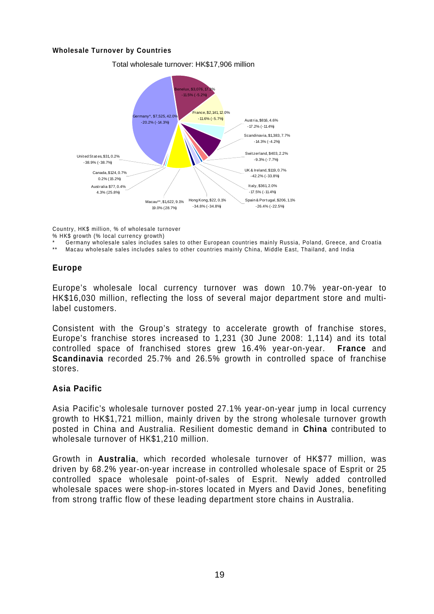#### **Wholesale Turnover by Countries**



Total wholesale turnover: HK\$17,906 million

Country, HK\$ million, % of wholesale turnover

% HK\$ growth (% local currency growth)

Germany wholesale sales includes sales to other European countries mainly Russia, Poland, Greece, and Croatia

Macau wholesale sales includes sales to other countries mainly China, Middle East, Thailand, and India

## **Europe**

Europe's wholesale local currency turnover was down 10.7% year-on-year to HK\$16,030 million, reflecting the loss of several major department store and multilabel customers.

Consistent with the Group's strategy to accelerate growth of franchise stores, Europe's franchise stores increased to 1,231 (30 June 2008: 1,114) and its total controlled space of franchised stores grew 16.4% year-on-year. **France** and **Scandinavia** recorded 25.7% and 26.5% growth in controlled space of franchise stores.

#### **Asia Pacific**

Asia Pacific's wholesale turnover posted 27.1% year-on-year jump in local currency growth to HK\$1,721 million, mainly driven by the strong wholesale turnover growth posted in China and Australia. Resilient domestic demand in **China** contributed to wholesale turnover of HK\$1,210 million.

Growth in **Australia**, which recorded wholesale turnover of HK\$77 million, was driven by 68.2% year-on-year increase in controlled wholesale space of Esprit or 25 controlled space wholesale point-of-sales of Esprit. Newly added controlled wholesale spaces were shop-in-stores located in Myers and David Jones, benefiting from strong traffic flow of these leading department store chains in Australia.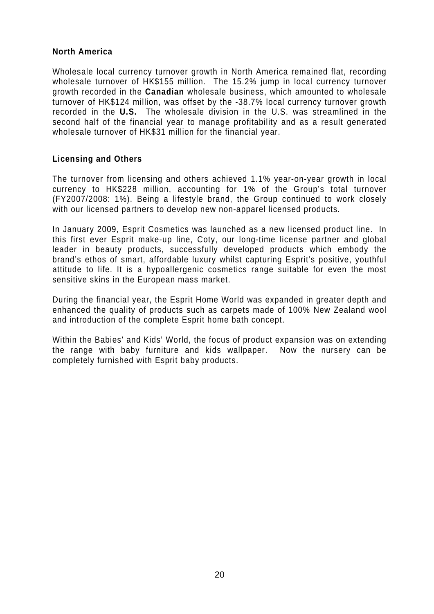#### **North America**

Wholesale local currency turnover growth in North America remained flat, recording wholesale turnover of HK\$155 million. The 15.2% jump in local currency turnover growth recorded in the **Canadian** wholesale business, which amounted to wholesale turnover of HK\$124 million, was offset by the -38.7% local currency turnover growth recorded in the **U.S.** The wholesale division in the U.S. was streamlined in the second half of the financial year to manage profitability and as a result generated wholesale turnover of HK\$31 million for the financial year.

#### **Licensing and Others**

The turnover from licensing and others achieved 1.1% year-on-year growth in local currency to HK\$228 million, accounting for 1% of the Group's total turnover (FY2007/2008: 1%). Being a lifestyle brand, the Group continued to work closely with our licensed partners to develop new non-apparel licensed products.

In January 2009, Esprit Cosmetics was launched as a new licensed product line. In this first ever Esprit make-up line, Coty, our long-time license partner and global leader in beauty products, successfully developed products which embody the brand's ethos of smart, affordable luxury whilst capturing Esprit's positive, youthful attitude to life. It is a hypoallergenic cosmetics range suitable for even the most sensitive skins in the European mass market.

During the financial year, the Esprit Home World was expanded in greater depth and enhanced the quality of products such as carpets made of 100% New Zealand wool and introduction of the complete Esprit home bath concept.

Within the Babies' and Kids' World, the focus of product expansion was on extending the range with baby furniture and kids wallpaper. Now the nursery can be completely furnished with Esprit baby products.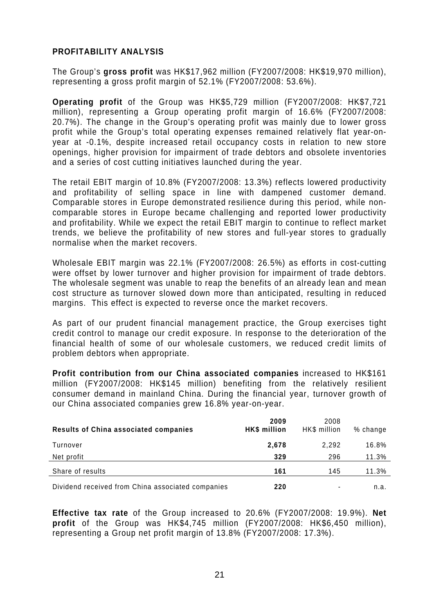### **PROFITABILITY ANALYSIS**

The Group's **gross profit** was HK\$17,962 million (FY2007/2008: HK\$19,970 million), representing a gross profit margin of 52.1% (FY2007/2008: 53.6%).

**Operating profit** of the Group was HK\$5,729 million (FY2007/2008: HK\$7,721 million), representing a Group operating profit margin of 16.6% (FY2007/2008: 20.7%). The change in the Group's operating profit was mainly due to lower gross profit while the Group's total operating expenses remained relatively flat year-onyear at -0.1%, despite increased retail occupancy costs in relation to new store openings, higher provision for impairment of trade debtors and obsolete inventories and a series of cost cutting initiatives launched during the year.

The retail EBIT margin of 10.8% (FY2007/2008: 13.3%) reflects lowered productivity and profitability of selling space in line with dampened customer demand. Comparable stores in Europe demonstrated resilience during this period, while noncomparable stores in Europe became challenging and reported lower productivity and profitability. While we expect the retail EBIT margin to continue to reflect market trends, we believe the profitability of new stores and full-year stores to gradually normalise when the market recovers.

Wholesale EBIT margin was 22.1% (FY2007/2008: 26.5%) as efforts in cost-cutting were offset by lower turnover and higher provision for impairment of trade debtors. The wholesale segment was unable to reap the benefits of an already lean and mean cost structure as turnover slowed down more than anticipated, resulting in reduced margins. This effect is expected to reverse once the market recovers.

As part of our prudent financial management practice, the Group exercises tight credit control to manage our credit exposure. In response to the deterioration of the financial health of some of our wholesale customers, we reduced credit limits of problem debtors when appropriate.

**Profit contribution from our China associated companies** increased to HK\$161 million (FY2007/2008: HK\$145 million) benefiting from the relatively resilient consumer demand in mainland China. During the financial year, turnover growth of our China associated companies grew 16.8% year-on-year.

| Results of China associated companies             | 2009<br>HK\$ million | 2008<br>HK\$ million | $%$ change |
|---------------------------------------------------|----------------------|----------------------|------------|
| Turnover                                          | 2,678                | 2,292                | 16.8%      |
| Net profit                                        | 329                  | 296                  | 11.3%      |
| Share of results                                  | 161                  | 145                  | 11.3%      |
| Dividend received from China associated companies | 220                  |                      | n.a.       |

**Effective tax rate** of the Group increased to 20.6% (FY2007/2008: 19.9%). **Net profit** of the Group was HK\$4,745 million (FY2007/2008: HK\$6,450 million), representing a Group net profit margin of 13.8% (FY2007/2008: 17.3%).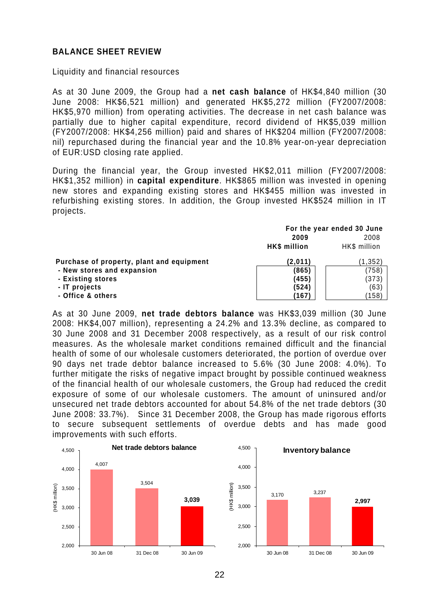#### **BALANCE SHEET REVIEW**

Liquidity and financial resources

As at 30 June 2009, the Group had a **net cash balance** of HK\$4,840 million (30 June 2008: HK\$6,521 million) and generated HK\$5,272 million (FY2007/2008: HK\$5,970 million) from operating activities. The decrease in net cash balance was partially due to higher capital expenditure, record dividend of HK\$5,039 million (FY2007/2008: HK\$4,256 million) paid and shares of HK\$204 million (FY2007/2008: nil) repurchased during the financial year and the 10.8% year-on-year depreciation of EUR:USD closing rate applied.

During the financial year, the Group invested HK\$2,011 million (FY2007/2008: HK\$1,352 million) in **capital expenditure**. HK\$865 million was invested in opening new stores and expanding existing stores and HK\$455 million was invested in refurbishing existing stores. In addition, the Group invested HK\$524 million in IT projects.

|                                           |              | For the year ended 30 June |  |  |
|-------------------------------------------|--------------|----------------------------|--|--|
|                                           | 2009         |                            |  |  |
|                                           | HK\$ million | HK\$ million               |  |  |
| Purchase of property, plant and equipment | (2,011)      | (1,352)                    |  |  |
| - New stores and expansion                | (865)        | (758)                      |  |  |
| - Existing stores                         | (455)        | (373)                      |  |  |
| - IT projects                             | (524)        | (63)                       |  |  |
| - Office & others                         | (167)        | (158)                      |  |  |

As at 30 June 2009, **net trade debtors balance** was HK\$3,039 million (30 June 2008: HK\$4,007 million), representing a 24.2% and 13.3% decline, as compared to 30 June 2008 and 31 December 2008 respectively, as a result of our risk control measures. As the wholesale market conditions remained difficult and the financial health of some of our wholesale customers deteriorated, the portion of overdue over 90 days net trade debtor balance increased to 5.6% (30 June 2008: 4.0%). To further mitigate the risks of negative impact brought by possible continued weakness of the financial health of our wholesale customers, the Group had reduced the credit exposure of some of our wholesale customers. The amount of uninsured and/or unsecured net trade debtors accounted for about 54.8% of the net trade debtors (30 June 2008: 33.7%). Since 31 December 2008, the Group has made rigorous efforts to secure subsequent settlements of overdue debts and has made good improvements with such efforts.

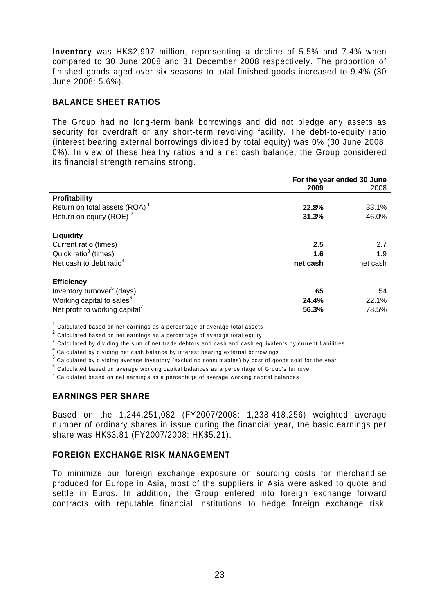**Inventory** was HK\$2,997 million, representing a decline of 5.5% and 7.4% when compared to 30 June 2008 and 31 December 2008 respectively. The proportion of finished goods aged over six seasons to total finished goods increased to 9.4% (30 June 2008: 5.6%).

#### **BALANCE SHEET RATIOS**

The Group had no long-term bank borrowings and did not pledge any assets as security for overdraft or any short-term revolving facility. The debt-to-equity ratio (interest bearing external borrowings divided by total equity) was 0% (30 June 2008: 0%). In view of these healthy ratios and a net cash balance, the Group considered its financial strength remains strong.

|                                            | For the year ended 30 June |          |  |
|--------------------------------------------|----------------------------|----------|--|
|                                            | 2009                       | 2008     |  |
| <b>Profitability</b>                       |                            |          |  |
| Return on total assets $(ROA)^1$           | 22.8%                      | 33.1%    |  |
| Return on equity (ROE) <sup>2</sup>        | 31.3%                      | 46.0%    |  |
| <b>Liquidity</b>                           |                            |          |  |
| Current ratio (times)                      | 2.5                        | 2.7      |  |
| Quick ratio <sup>3</sup> (times)           | 1.6                        | 1.9      |  |
| Net cash to debt ratio <sup>4</sup>        | net cash                   | net cash |  |
| <b>Efficiency</b>                          |                            |          |  |
| Inventory turnover <sup>5</sup> (days)     | 65                         | 54       |  |
| Working capital to sales <sup>6</sup>      | 24.4%                      | 22.1%    |  |
| Net profit to working capital <sup>7</sup> | 56.3%                      | 78.5%    |  |

 $^1$  Calculated based on net earnings as a percentage of average total assets

 $2$  Calculated based on net earnings as a percentage of average total equity

 $^3$  Calculated by dividing the sum of net trade debtors and cash and cash equivalents by current liabilities

4 Calculated by dividing net cash balance by interest bearing external borrowings

5 Calculated by dividing average inventory (excluding consumables) by cost of goods sold for the year

 $^6$  Calculated based on average working capital balances as a percentage of Group's turnover

 $7$  Calculated based on net earnings as a percentage of average working capital balances

#### **EARNINGS PER SHARE**

Based on the 1,244,251,082 (FY2007/2008: 1,238,418,256) weighted average number of ordinary shares in issue during the financial year, the basic earnings per share was HK\$3.81 (FY2007/2008: HK\$5.21).

#### **FOREIGN EXCHANGE RISK MANAGEMENT**

To minimize our foreign exchange exposure on sourcing costs for merchandise produced for Europe in Asia, most of the suppliers in Asia were asked to quote and settle in Euros. In addition, the Group entered into foreign exchange forward contracts with reputable financial institutions to hedge foreign exchange risk.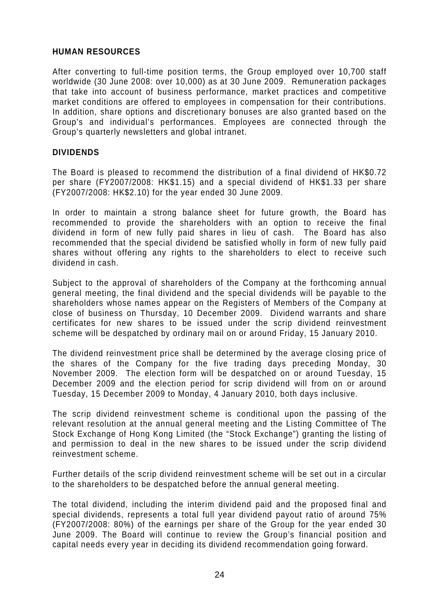#### **HUMAN RESOURCES**

After converting to full-time position terms, the Group employed over 10,700 staff worldwide (30 June 2008: over 10,000) as at 30 June 2009. Remuneration packages that take into account of business performance, market practices and competitive market conditions are offered to employees in compensation for their contributions. In addition, share options and discretionary bonuses are also granted based on the Group's and individual's performances. Employees are connected through the Group's quarterly newsletters and global intranet.

#### **DIVIDENDS**

The Board is pleased to recommend the distribution of a final dividend of HK\$0.72 per share (FY2007/2008: HK\$1.15) and a special dividend of HK\$1.33 per share (FY2007/2008: HK\$2.10) for the year ended 30 June 2009.

In order to maintain a strong balance sheet for future growth, the Board has recommended to provide the shareholders with an option to receive the final dividend in form of new fully paid shares in lieu of cash. The Board has also recommended that the special dividend be satisfied wholly in form of new fully paid shares without offering any rights to the shareholders to elect to receive such dividend in cash.

Subject to the approval of shareholders of the Company at the forthcoming annual general meeting, the final dividend and the special dividends will be payable to the shareholders whose names appear on the Registers of Members of the Company at close of business on Thursday, 10 December 2009. Dividend warrants and share certificates for new shares to be issued under the scrip dividend reinvestment scheme will be despatched by ordinary mail on or around Friday, 15 January 2010.

The dividend reinvestment price shall be determined by the average closing price of the shares of the Company for the five trading days preceding Monday, 30 November 2009. The election form will be despatched on or around Tuesday, 15 December 2009 and the election period for scrip dividend will from on or around Tuesday, 15 December 2009 to Monday, 4 January 2010, both days inclusive.

The scrip dividend reinvestment scheme is conditional upon the passing of the relevant resolution at the annual general meeting and the Listing Committee of The Stock Exchange of Hong Kong Limited (the "Stock Exchange") granting the listing of and permission to deal in the new shares to be issued under the scrip dividend reinvestment scheme.

Further details of the scrip dividend reinvestment scheme will be set out in a circular to the shareholders to be despatched before the annual general meeting.

The total dividend, including the interim dividend paid and the proposed final and special dividends, represents a total full year dividend payout ratio of around 75% (FY2007/2008: 80%) of the earnings per share of the Group for the year ended 30 June 2009. The Board will continue to review the Group's financial position and capital needs every year in deciding its dividend recommendation going forward.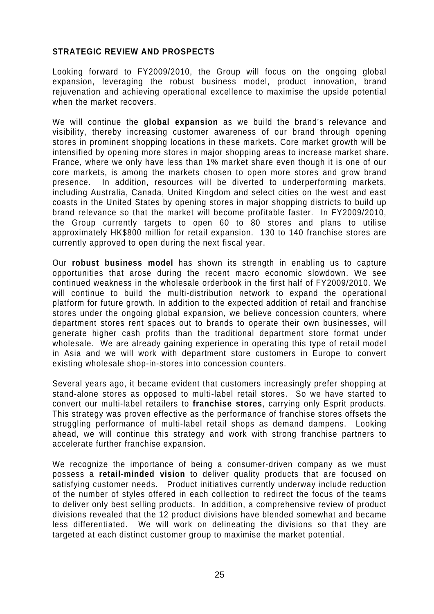### **STRATEGIC REVIEW AND PROSPECTS**

Looking forward to FY2009/2010, the Group will focus on the ongoing global expansion, leveraging the robust business model, product innovation, brand rejuvenation and achieving operational excellence to maximise the upside potential when the market recovers.

We will continue the **global expansion** as we build the brand's relevance and visibility, thereby increasing customer awareness of our brand through opening stores in prominent shopping locations in these markets. Core market growth will be intensified by opening more stores in major shopping areas to increase market share. France, where we only have less than 1% market share even though it is one of our core markets, is among the markets chosen to open more stores and grow brand presence. In addition, resources will be diverted to underperforming markets, including Australia, Canada, United Kingdom and select cities on the west and east coasts in the United States by opening stores in major shopping districts to build up brand relevance so that the market will become profitable faster. In FY2009/2010, the Group currently targets to open 60 to 80 stores and plans to utilise approximately HK\$800 million for retail expansion. 130 to 140 franchise stores are currently approved to open during the next fiscal year.

Our **robust business model** has shown its strength in enabling us to capture opportunities that arose during the recent macro economic slowdown. We see continued weakness in the wholesale orderbook in the first half of FY2009/2010. We will continue to build the multi-distribution network to expand the operational platform for future growth. In addition to the expected addition of retail and franchise stores under the ongoing global expansion, we believe concession counters, where department stores rent spaces out to brands to operate their own businesses, will generate higher cash profits than the traditional department store format under wholesale. We are already gaining experience in operating this type of retail model in Asia and we will work with department store customers in Europe to convert existing wholesale shop-in-stores into concession counters.

Several years ago, it became evident that customers increasingly prefer shopping at stand-alone stores as opposed to multi-label retail stores. So we have started to convert our multi-label retailers to **franchise stores**, carrying only Esprit products. This strategy was proven effective as the performance of franchise stores offsets the struggling performance of multi-label retail shops as demand dampens. Looking ahead, we will continue this strategy and work with strong franchise partners to accelerate further franchise expansion.

We recognize the importance of being a consumer-driven company as we must possess a **retail-minded vision** to deliver quality products that are focused on satisfying customer needs. Product initiatives currently underway include reduction of the number of styles offered in each collection to redirect the focus of the teams to deliver only best selling products. In addition, a comprehensive review of product divisions revealed that the 12 product divisions have blended somewhat and became less differentiated. We will work on delineating the divisions so that they are targeted at each distinct customer group to maximise the market potential.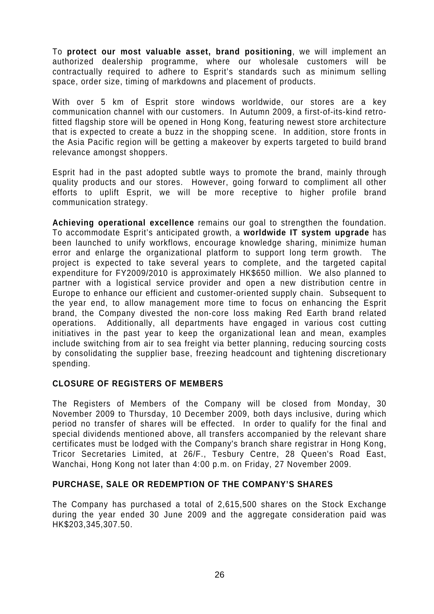To **protect our most valuable asset, brand positioning**, we will implement an authorized dealership programme, where our wholesale customers will be contractually required to adhere to Esprit's standards such as minimum selling space, order size, timing of markdowns and placement of products.

With over 5 km of Esprit store windows worldwide, our stores are a key communication channel with our customers. In Autumn 2009, a first-of-its-kind retrofitted flagship store will be opened in Hong Kong, featuring newest store architecture that is expected to create a buzz in the shopping scene. In addition, store fronts in the Asia Pacific region will be getting a makeover by experts targeted to build brand relevance amongst shoppers.

Esprit had in the past adopted subtle ways to promote the brand, mainly through quality products and our stores. However, going forward to compliment all other efforts to uplift Esprit, we will be more receptive to higher profile brand communication strategy.

**Achieving operational excellence** remains our goal to strengthen the foundation. To accommodate Esprit's anticipated growth, a **worldwide IT system upgrade** has been launched to unify workflows, encourage knowledge sharing, minimize human error and enlarge the organizational platform to support long term growth. The project is expected to take several years to complete, and the targeted capital expenditure for FY2009/2010 is approximately HK\$650 million. We also planned to partner with a logistical service provider and open a new distribution centre in Europe to enhance our efficient and customer-oriented supply chain. Subsequent to the year end, to allow management more time to focus on enhancing the Esprit brand, the Company divested the non-core loss making Red Earth brand related operations. Additionally, all departments have engaged in various cost cutting initiatives in the past year to keep the organizational lean and mean, examples include switching from air to sea freight via better planning, reducing sourcing costs by consolidating the supplier base, freezing headcount and tightening discretionary spending.

#### **CLOSURE OF REGISTERS OF MEMBERS**

The Registers of Members of the Company will be closed from Monday, 30 November 2009 to Thursday, 10 December 2009, both days inclusive, during which period no transfer of shares will be effected. In order to qualify for the final and special dividends mentioned above, all transfers accompanied by the relevant share certificates must be lodged with the Company's branch share registrar in Hong Kong, Tricor Secretaries Limited, at 26/F., Tesbury Centre, 28 Queen's Road East, Wanchai, Hong Kong not later than 4:00 p.m. on Friday, 27 November 2009.

#### **PURCHASE, SALE OR REDEMPTION OF THE COMPANY'S SHARES**

The Company has purchased a total of 2,615,500 shares on the Stock Exchange during the year ended 30 June 2009 and the aggregate consideration paid was HK\$203,345,307.50.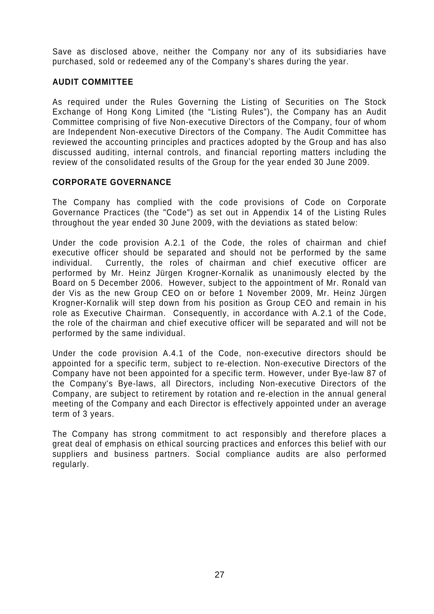Save as disclosed above, neither the Company nor any of its subsidiaries have purchased, sold or redeemed any of the Company's shares during the year.

## **AUDIT COMMITTEE**

As required under the Rules Governing the Listing of Securities on The Stock Exchange of Hong Kong Limited (the "Listing Rules"), the Company has an Audit Committee comprising of five Non-executive Directors of the Company, four of whom are Independent Non-executive Directors of the Company. The Audit Committee has reviewed the accounting principles and practices adopted by the Group and has also discussed auditing, internal controls, and financial reporting matters including the review of the consolidated results of the Group for the year ended 30 June 2009.

## **CORPORATE GOVERNANCE**

The Company has complied with the code provisions of Code on Corporate Governance Practices (the "Code") as set out in Appendix 14 of the Listing Rules throughout the year ended 30 June 2009, with the deviations as stated below:

Under the code provision A.2.1 of the Code, the roles of chairman and chief executive officer should be separated and should not be performed by the same individual. Currently, the roles of chairman and chief executive officer are performed by Mr. Heinz Jürgen Krogner-Kornalik as unanimously elected by the Board on 5 December 2006. However, subject to the appointment of Mr. Ronald van der Vis as the new Group CEO on or before 1 November 2009, Mr. Heinz Jürgen Krogner-Kornalik will step down from his position as Group CEO and remain in his role as Executive Chairman. Consequently, in accordance with A.2.1 of the Code, the role of the chairman and chief executive officer will be separated and will not be performed by the same individual.

Under the code provision A.4.1 of the Code, non-executive directors should be appointed for a specific term, subject to re-election. Non-executive Directors of the Company have not been appointed for a specific term. However, under Bye-law 87 of the Company's Bye-laws, all Directors, including Non-executive Directors of the Company, are subject to retirement by rotation and re-election in the annual general meeting of the Company and each Director is effectively appointed under an average term of 3 years.

The Company has strong commitment to act responsibly and therefore places a great deal of emphasis on ethical sourcing practices and enforces this belief with our suppliers and business partners. Social compliance audits are also performed regularly.